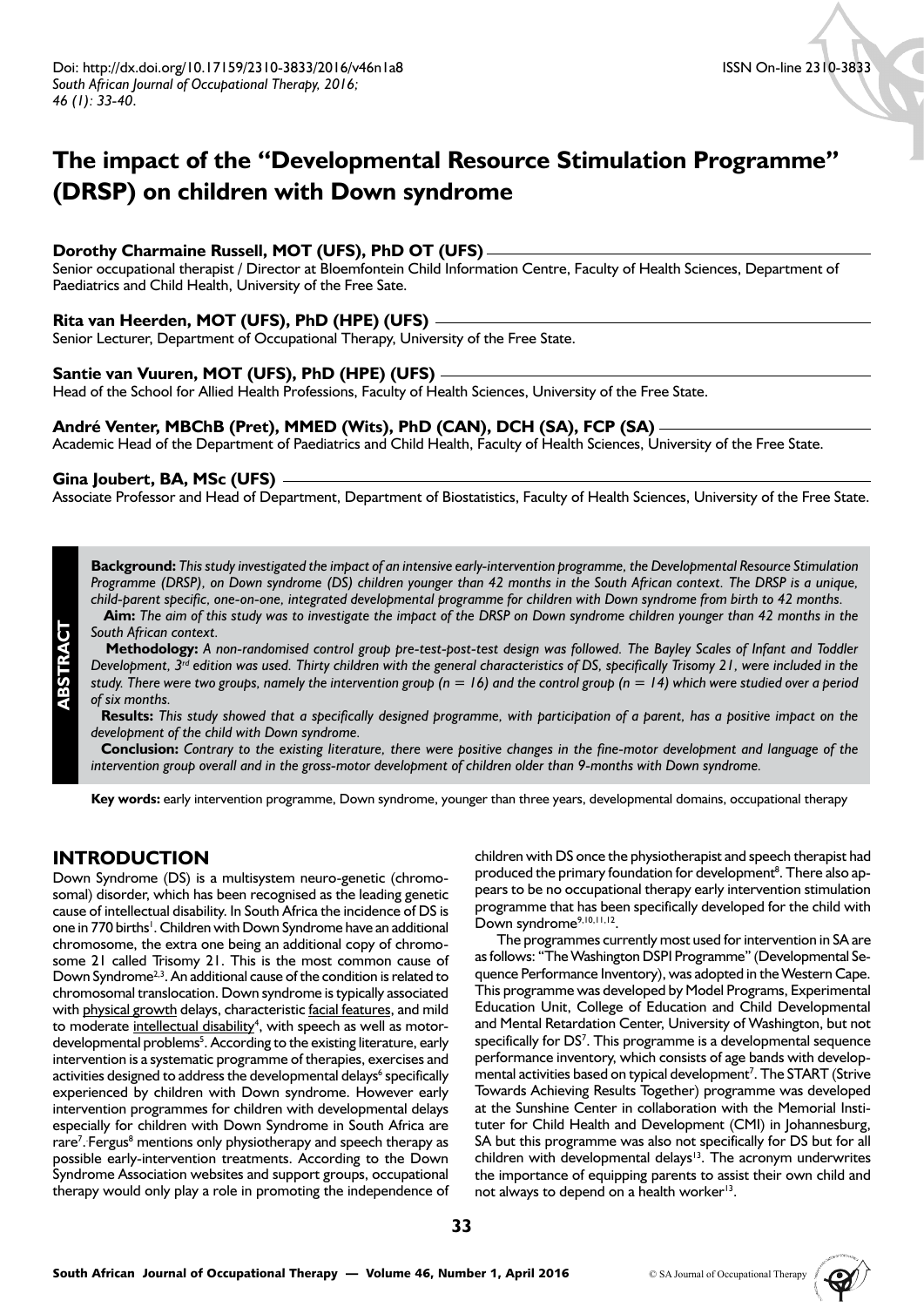# **The impact of the "Developmental Resource Stimulation Programme" (DRSP) on children with Down syndrome**

## **Dorothy Charmaine Russell, MOT (UFS), PhD OT (UFS)**

Senior occupational therapist / Director at Bloemfontein Child Information Centre, Faculty of Health Sciences, Department of Paediatrics and Child Health, University of the Free Sate.

## **Rita van Heerden, MOT (UFS), PhD (HPE) (UFS)**

Senior Lecturer, Department of Occupational Therapy, University of the Free State.

#### **Santie van Vuuren, MOT (UFS), PhD (HPE) (UFS)**

Head of the School for Allied Health Professions, Faculty of Health Sciences, University of the Free State.

## **André Venter, MBChB (Pret), MMED (Wits), PhD (CAN), DCH (SA), FCP (SA)**

Academic Head of the Department of Paediatrics and Child Health, Faculty of Health Sciences, University of the Free State.

#### **Gina Joubert, BA, MSc (UFS)**

Associate Professor and Head of Department, Department of Biostatistics, Faculty of Health Sciences, University of the Free State.

**Background:** *This study investigated the impact of an intensive early-intervention programme, the Developmental Resource Stimulation Programme (DRSP), on Down syndrome (DS) children younger than 42 months in the South African context. The DRSP is a unique, child-parent specific, one-on-one, integrated developmental programme for children with Down syndrome from birth to 42 months.*

 **Aim:** *The aim of this study was to investigate the impact of the DRSP on Down syndrome children younger than 42 months in the South African context.*

 **Methodology:** *A non-randomised control group pre-test-post-test design was followed. The Bayley Scales of Infant and Toddler Development, 3rd edition was used. Thirty children with the general characteristics of DS, specifically Trisomy 21, were included in the study. There were two groups, namely the intervention group (n = 16) and the control group (n = 14) which were studied over a period of six months.*

 **Results:** *This study showed that a specifically designed programme, with participation of a parent, has a positive impact on the development of the child with Down syndrome.*

 **Conclusion:** *Contrary to the existing literature, there were positive changes in the fine-motor development and language of the intervention group overall and in the gross-motor development of children older than 9-months with Down syndrome.*

**Key words:** early intervention programme, Down syndrome, younger than three years, developmental domains, occupational therapy

## **INTRODUCTION**

**ABSTRACT**

Down Syndrome (DS) is a multisystem neuro-genetic (chromosomal) disorder, which has been recognised as the leading genetic cause of intellectual disability. In South Africa the incidence of DS is one in 770 births<sup>1</sup>. Children with Down Syndrome have an additional chromosome, the extra one being an additional copy of chromosome 21 called Trisomy 21. This is the most common cause of Down Syndrome<sup>2,3</sup>. An additional cause of the condition is related to chromosomal translocation. Down syndrome is typically associated with physical growth delays, characteristic facial features, and mild to moderate intellectual disability<sup>4</sup>, with speech as well as motordevelopmental problems<sup>5</sup>. According to the existing literature, early intervention is a systematic programme of therapies, exercises and activities designed to address the developmental delays<sup>6</sup> specifically experienced by children with Down syndrome. However early intervention programmes for children with developmental delays especially for children with Down Syndrome in South Africa are rare<sup>7</sup>. Fergus<sup>8</sup> mentions only physiotherapy and speech therapy as possible early-intervention treatments. According to the Down Syndrome Association websites and support groups, occupational therapy would only play a role in promoting the independence of children with DS once the physiotherapist and speech therapist had produced the primary foundation for development<sup>8</sup>. There also appears to be no occupational therapy early intervention stimulation programme that has been specifically developed for the child with Down syndrome<sup>9,10,11,12</sup>.

The programmes currently most used for intervention in SA are as follows: "The Washington DSPI Programme" (Developmental Sequence Performance Inventory), was adopted in the Western Cape. This programme was developed by Model Programs, Experimental Education Unit, College of Education and Child Developmental and Mental Retardation Center, University of Washington, but not specifically for DS<sup>7</sup>. This programme is a developmental sequence performance inventory, which consists of age bands with developmental activities based on typical development<sup>7</sup>. The START (Strive Towards Achieving Results Together) programme was developed at the Sunshine Center in collaboration with the Memorial Instituter for Child Health and Development (CMI) in Johannesburg, SA but this programme was also not specifically for DS but for all children with developmental delays<sup>13</sup>. The acronym underwrites the importance of equipping parents to assist their own child and not always to depend on a health worker<sup>13</sup>.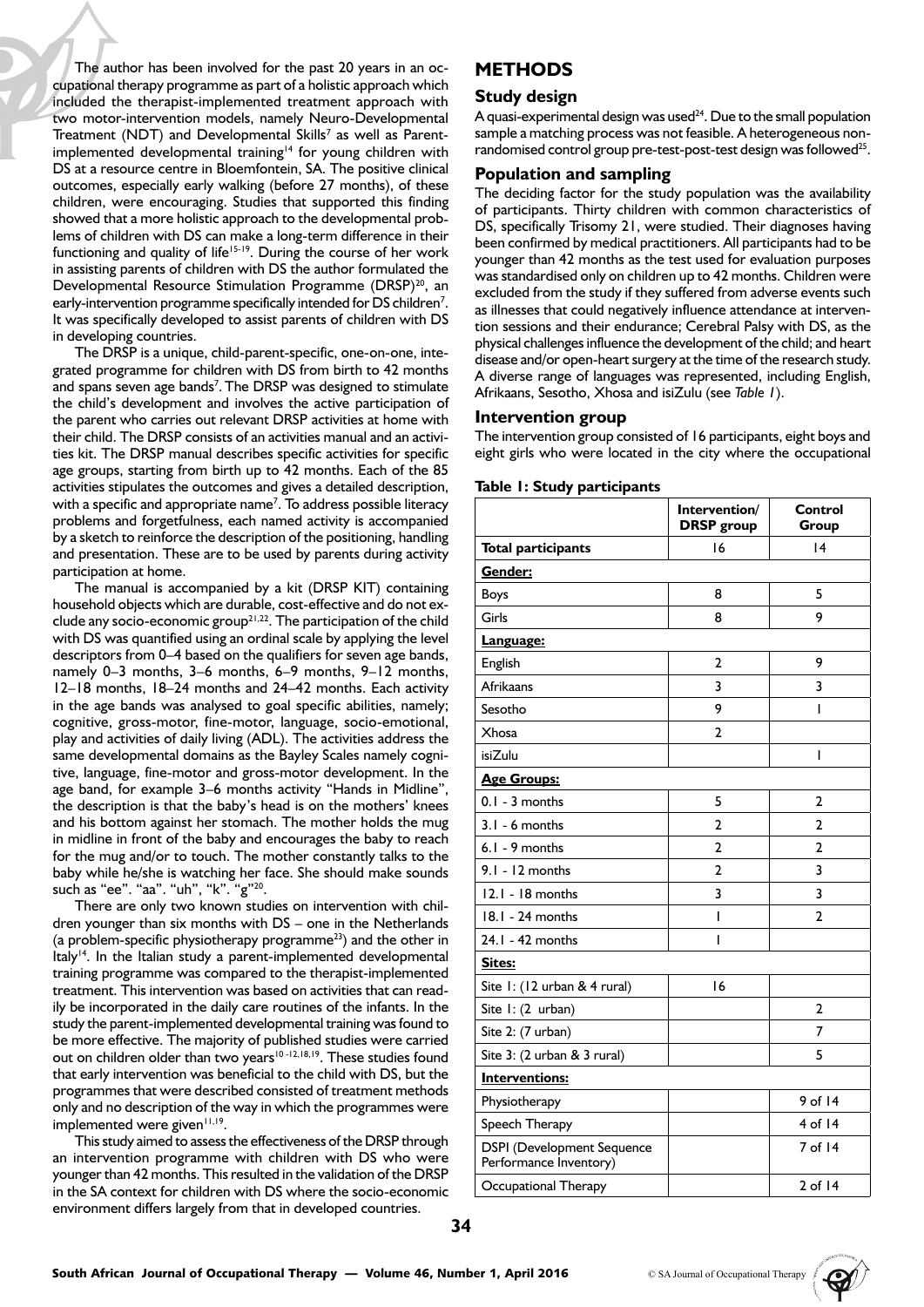The author has been involved for the past 20 years in an occupational therapy programme as part of a holistic approach which included the therapist-implemented treatment approach with two motor-intervention models, namely Neuro-Developmental Treatment (NDT) and Developmental Skills<sup>7</sup> as well as Parentimplemented developmental training<sup>14</sup> for young children with DS at a resource centre in Bloemfontein, SA. The positive clinical outcomes, especially early walking (before 27 months), of these children, were encouraging. Studies that supported this finding showed that a more holistic approach to the developmental problems of children with DS can make a long-term difference in their functioning and quality of life<sup>15-19</sup>. During the course of her work in assisting parents of children with DS the author formulated the Developmental Resource Stimulation Programme (DRSP)<sup>20</sup>, an early-intervention programme specifically intended for DS children<sup>7</sup>. It was specifically developed to assist parents of children with DS in developing countries.

The DRSP is a unique, child-parent-specific, one-on-one, integrated programme for children with DS from birth to 42 months and spans seven age bands<sup>7</sup>. The DRSP was designed to stimulate the child's development and involves the active participation of the parent who carries out relevant DRSP activities at home with their child. The DRSP consists of an activities manual and an activities kit. The DRSP manual describes specific activities for specific age groups, starting from birth up to 42 months. Each of the 85 activities stipulates the outcomes and gives a detailed description, with a specific and appropriate name<sup>7</sup>. To address possible literacy problems and forgetfulness, each named activity is accompanied by a sketch to reinforce the description of the positioning, handling and presentation. These are to be used by parents during activity participation at home.

The manual is accompanied by a kit (DRSP KIT) containing household objects which are durable, cost-effective and do not exclude any socio-economic group<sup>21,22</sup>. The participation of the child with DS was quantified using an ordinal scale by applying the level descriptors from 0–4 based on the qualifiers for seven age bands, namely 0–3 months, 3–6 months, 6–9 months, 9–12 months, 12–18 months, 18–24 months and 24–42 months. Each activity in the age bands was analysed to goal specific abilities, namely; cognitive, gross-motor, fine-motor, language, socio-emotional, play and activities of daily living (ADL). The activities address the same developmental domains as the Bayley Scales namely cognitive, language, fine-motor and gross-motor development. In the age band, for example 3–6 months activity "Hands in Midline", the description is that the baby's head is on the mothers' knees and his bottom against her stomach. The mother holds the mug in midline in front of the baby and encourages the baby to reach for the mug and/or to touch. The mother constantly talks to the baby while he/she is watching her face. She should make sounds such as "ee". "aa". "uh", "k". "g"20.

There are only two known studies on intervention with children younger than six months with DS – one in the Netherlands (a problem-specific physiotherapy programme $^{23}$ ) and the other in Italy<sup>14</sup>. In the Italian study a parent-implemented developmental training programme was compared to the therapist-implemented treatment. This intervention was based on activities that can readily be incorporated in the daily care routines of the infants. In the study the parent-implemented developmental training was found to be more effective. The majority of published studies were carried out on children older than two years<sup>10-12,18,19</sup>. These studies found that early intervention was beneficial to the child with DS, but the programmes that were described consisted of treatment methods only and no description of the way in which the programmes were implemented were given<sup>11,19</sup>.

This study aimed to assess the effectiveness of the DRSP through an intervention programme with children with DS who were younger than 42 months. This resulted in the validation of the DRSP in the SA context for children with DS where the socio-economic environment differs largely from that in developed countries.

# **METHODS**

#### **Study design**

A quasi-experimental design was used $24$ . Due to the small population sample a matching process was not feasible. A heterogeneous nonrandomised control group pre-test-post-test design was followed<sup>25</sup>.

## **Population and sampling**

The deciding factor for the study population was the availability of participants. Thirty children with common characteristics of DS, specifically Trisomy 21, were studied. Their diagnoses having been confirmed by medical practitioners. All participants had to be younger than 42 months as the test used for evaluation purposes was standardised only on children up to 42 months. Children were excluded from the study if they suffered from adverse events such as illnesses that could negatively influence attendance at intervention sessions and their endurance; Cerebral Palsy with DS, as the physical challenges influence the development of the child; and heart disease and/or open-heart surgery at the time of the research study. A diverse range of languages was represented, including English, Afrikaans, Sesotho, Xhosa and isiZulu (see *Table 1*).

#### **Intervention group**

The intervention group consisted of 16 participants, eight boys and eight girls who were located in the city where the occupational

| Table 1: Study participants |  |
|-----------------------------|--|
|-----------------------------|--|

|                                                             | Intervention/<br><b>DRSP</b> group | Control<br>Group |
|-------------------------------------------------------------|------------------------------------|------------------|
| <b>Total participants</b>                                   | 16                                 | 4                |
| Gender:                                                     |                                    |                  |
| Boys                                                        | 8                                  | 5                |
| Girls                                                       | 8                                  | 9                |
| Language:                                                   |                                    |                  |
| English                                                     | $\overline{2}$                     | 9                |
| <b>Afrikaans</b>                                            | 3                                  | 3                |
| Sesotho                                                     | 9                                  | T                |
| Xhosa                                                       | 2                                  |                  |
| isiZulu                                                     |                                    | T                |
| <b>Age Groups:</b>                                          |                                    |                  |
| $0.1 - 3$ months                                            | 5                                  | 2                |
| $3.1 - 6$ months                                            | $\overline{2}$                     | $\overline{2}$   |
| $6.1 - 9$ months                                            | $\overline{2}$                     | 2                |
| $9.1 - 12$ months                                           | $\overline{2}$                     | 3                |
| $12.1 - 18$ months                                          | 3                                  | 3                |
| 18.1 - 24 months                                            | I                                  | $\overline{2}$   |
| 24.1 - 42 months                                            | I                                  |                  |
| Sites:                                                      |                                    |                  |
| Site I: (12 urban & 4 rural)                                | 16                                 |                  |
| Site I: (2 urban)                                           |                                    | $\overline{2}$   |
| Site 2: (7 urban)                                           |                                    | 7                |
| Site 3: (2 urban & 3 rural)                                 |                                    | 5                |
| <b>Interventions:</b>                                       |                                    |                  |
| Physiotherapy                                               |                                    | 9 of 14          |
| Speech Therapy                                              |                                    | 4 of 14          |
| <b>DSPI</b> (Development Sequence<br>Performance Inventory) |                                    | 7 of 14          |
| Occupational Therapy                                        |                                    | $2$ of 14        |

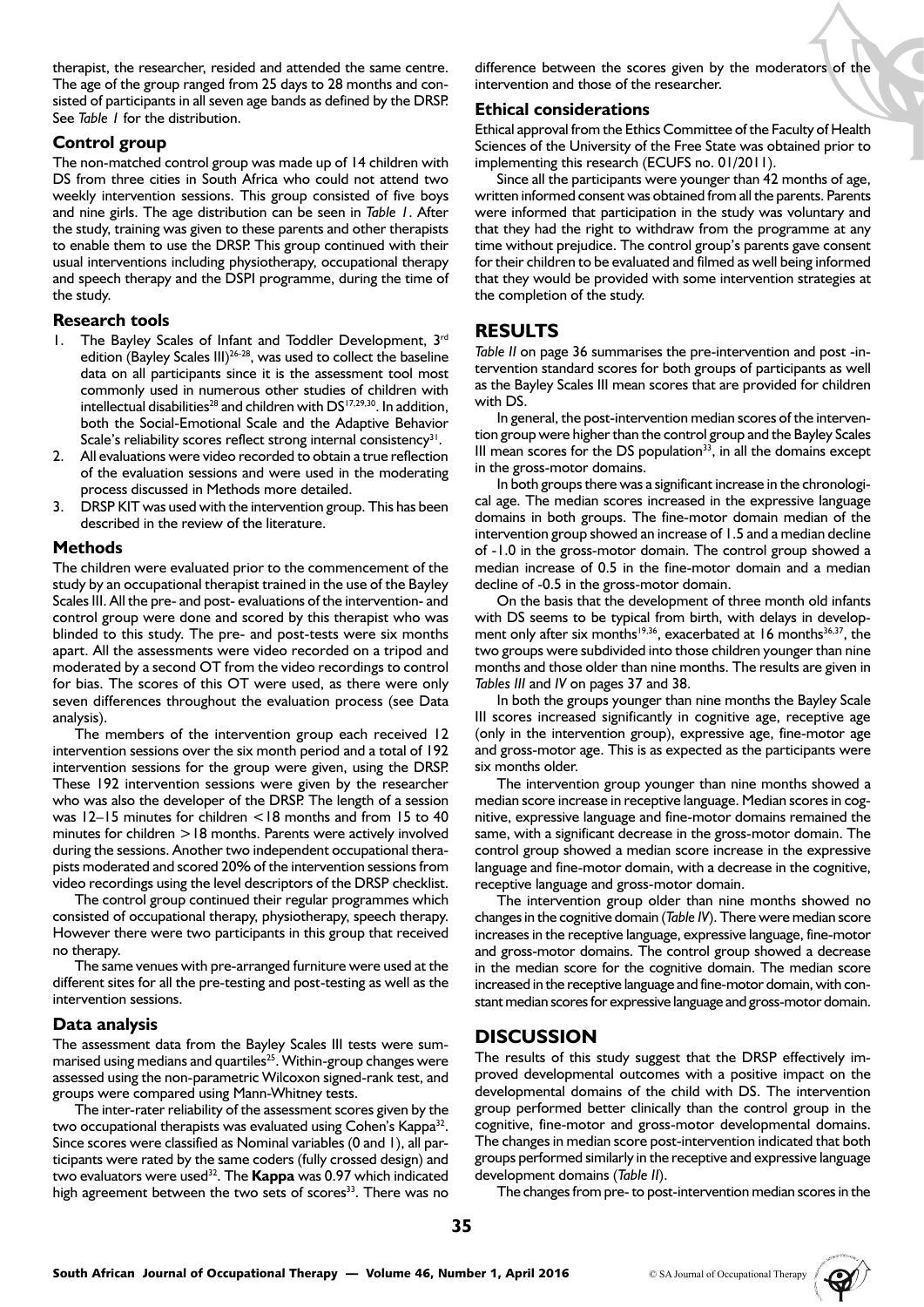therapist, the researcher, resided and attended the same centre. The age of the group ranged from 25 days to 28 months and consisted of participants in all seven age bands as defined by the DRSP. See *Table 1* for the distribution.

## **Control group**

The non-matched control group was made up of 14 children with DS from three cities in South Africa who could not attend two weekly intervention sessions. This group consisted of five boys and nine girls. The age distribution can be seen in *Table 1*. After the study, training was given to these parents and other therapists to enable them to use the DRSP. This group continued with their usual interventions including physiotherapy, occupational therapy and speech therapy and the DSPI programme, during the time of the study.

#### **Research tools**

- 1. The Bayley Scales of Infant and Toddler Development, 3rd edition (Bayley Scales III)<sup>26-28</sup>, was used to collect the baseline data on all participants since it is the assessment tool most commonly used in numerous other studies of children with intellectual disabilities<sup>28</sup> and children with  $DS^{17,29,30}$ . In addition, both the Social-Emotional Scale and the Adaptive Behavior Scale's reliability scores reflect strong internal consistency<sup>31</sup>.
- All evaluations were video recorded to obtain a true reflection of the evaluation sessions and were used in the moderating process discussed in Methods more detailed.
- 3. DRSP KIT was used with the intervention group. This has been described in the review of the literature.

## **Methods**

The children were evaluated prior to the commencement of the study by an occupational therapist trained in the use of the Bayley Scales III. All the pre- and post- evaluations of the intervention- and control group were done and scored by this therapist who was blinded to this study. The pre- and post-tests were six months apart. All the assessments were video recorded on a tripod and moderated by a second OT from the video recordings to control for bias. The scores of this OT were used, as there were only seven differences throughout the evaluation process (see Data analysis).

The members of the intervention group each received 12 intervention sessions over the six month period and a total of 192 intervention sessions for the group were given, using the DRSP. These 192 intervention sessions were given by the researcher who was also the developer of the DRSP. The length of a session was 12–15 minutes for children <18 months and from 15 to 40 minutes for children >18 months. Parents were actively involved during the sessions. Another two independent occupational therapists moderated and scored 20% of the intervention sessions from video recordings using the level descriptors of the DRSP checklist.

The control group continued their regular programmes which consisted of occupational therapy, physiotherapy, speech therapy. However there were two participants in this group that received no therapy.

The same venues with pre-arranged furniture were used at the different sites for all the pre-testing and post-testing as well as the intervention sessions.

## **Data analysis**

The assessment data from the Bayley Scales III tests were summarised using medians and quartiles<sup>25</sup>. Within-group changes were assessed using the non-parametric Wilcoxon signed-rank test, and groups were compared using Mann-Whitney tests.

The inter-rater reliability of the assessment scores given by the two occupational therapists was evaluated using Cohen's Kappa<sup>32</sup>. Since scores were classified as Nominal variables (0 and 1), all participants were rated by the same coders (fully crossed design) and two evaluators were used32. The **Kappa** was 0.97 which indicated high agreement between the two sets of scores<sup>33</sup>. There was no

difference between the scores given by the moderators of the intervention and those of the researcher.

## **Ethical considerations**

Ethical approval from the Ethics Committee of the Faculty of Health Sciences of the University of the Free State was obtained prior to implementing this research (ECUFS no. 01/2011).

Since all the participants were younger than 42 months of age, written informed consent was obtained from all the parents. Parents were informed that participation in the study was voluntary and that they had the right to withdraw from the programme at any time without prejudice. The control group's parents gave consent for their children to be evaluated and filmed as well being informed that they would be provided with some intervention strategies at the completion of the study.

# **RESULTS**

*Table II* on page 36 summarises the pre-intervention and post -intervention standard scores for both groups of participants as well as the Bayley Scales III mean scores that are provided for children with DS.

In general, the post-intervention median scores of the intervention group were higher than the control group and the Bayley Scales III mean scores for the DS population<sup>33</sup>, in all the domains except in the gross-motor domains.

In both groups there was a significant increase in the chronological age. The median scores increased in the expressive language domains in both groups. The fine-motor domain median of the intervention group showed an increase of 1.5 and a median decline of -1.0 in the gross-motor domain. The control group showed a median increase of 0.5 in the fine-motor domain and a median decline of -0.5 in the gross-motor domain.

On the basis that the development of three month old infants with DS seems to be typical from birth, with delays in development only after six months<sup>19,36</sup>, exacerbated at 16 months<sup>36,37</sup>, the two groups were subdivided into those children younger than nine months and those older than nine months. The results are given in *Tables III* and *IV* on pages 37 and 38.

In both the groups younger than nine months the Bayley Scale III scores increased significantly in cognitive age, receptive age (only in the intervention group), expressive age, fine-motor age and gross-motor age. This is as expected as the participants were six months older.

The intervention group younger than nine months showed a median score increase in receptive language. Median scores in cognitive, expressive language and fine-motor domains remained the same, with a significant decrease in the gross-motor domain. The control group showed a median score increase in the expressive language and fine-motor domain, with a decrease in the cognitive, receptive language and gross-motor domain.

The intervention group older than nine months showed no changes in the cognitive domain (*Table IV*). There were median score increases in the receptive language, expressive language, fine-motor and gross-motor domains. The control group showed a decrease in the median score for the cognitive domain. The median score increased in the receptive language and fine-motor domain, with constant median scores for expressive language and gross-motor domain.

# **DISCUSSION**

The results of this study suggest that the DRSP effectively improved developmental outcomes with a positive impact on the developmental domains of the child with DS. The intervention group performed better clinically than the control group in the cognitive, fine-motor and gross-motor developmental domains. The changes in median score post-intervention indicated that both groups performed similarly in the receptive and expressive language development domains (*Table II*).

The changes from pre- to post-intervention median scores in the

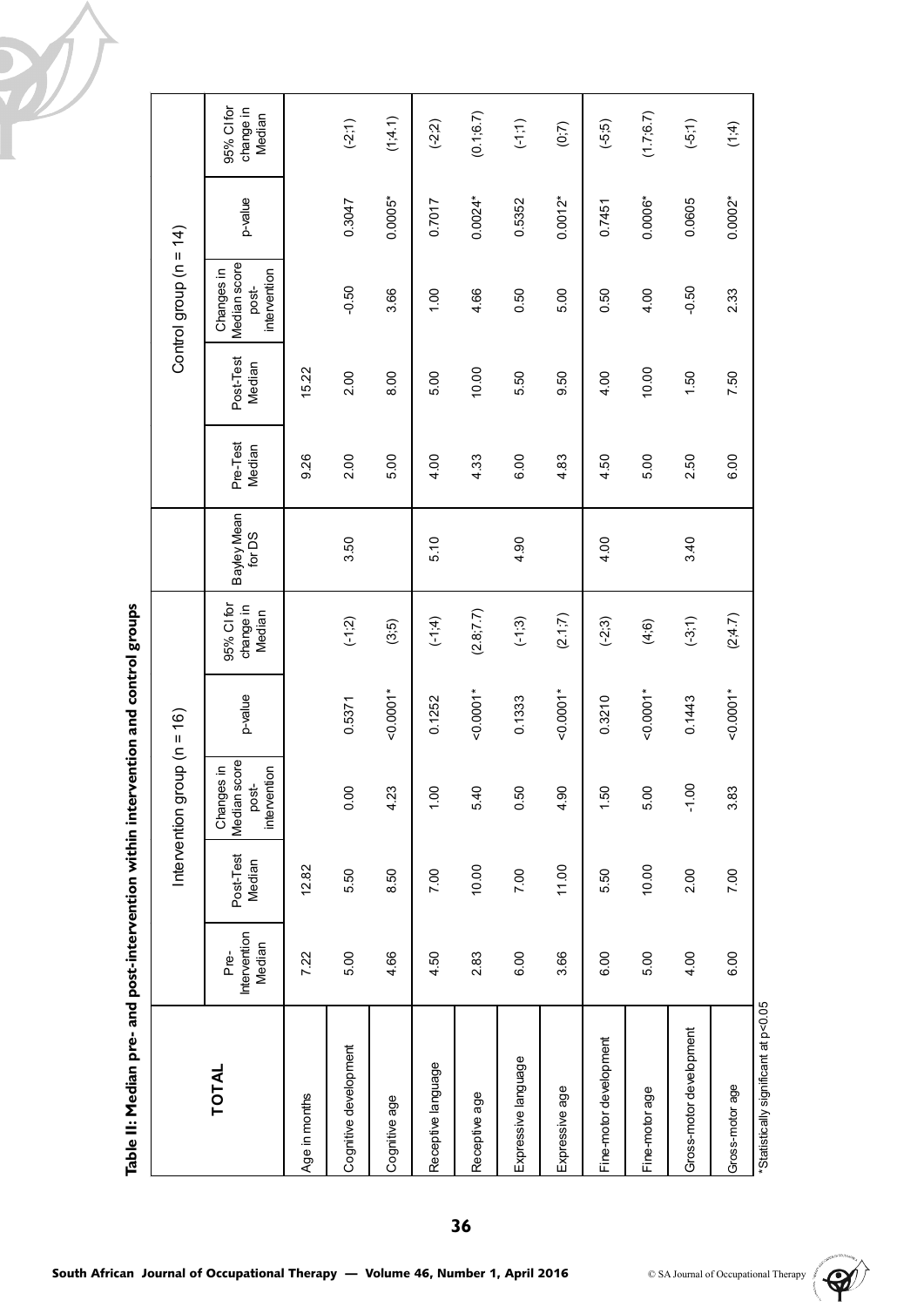|                                      |                                | Intervention gr     |                                                        | $(9t = n)$ dno. |                                   |                       |                    |                     | Control group $(n = 14)$                            |           |                                   |
|--------------------------------------|--------------------------------|---------------------|--------------------------------------------------------|-----------------|-----------------------------------|-----------------------|--------------------|---------------------|-----------------------------------------------------|-----------|-----------------------------------|
| <b>TOTAL</b>                         | Intervention<br>Median<br>Pre- | Post-Test<br>Median | score<br>Changes in<br>intervention<br>post-<br>Median | p-value         | 95% CI for<br>change in<br>Median | Bayley Mean<br>for DS | Pre-Test<br>Median | Post-Test<br>Median | Median score<br>Changes in<br>intervention<br>post- | p-value   | 95% CI for<br>change in<br>Median |
| Age in months                        | 7.22                           | 12.82               |                                                        |                 |                                   |                       | 9.26               | 15.22               |                                                     |           |                                   |
| Cognitive development                | 5.00                           | 5.50                | 0.00                                                   | 0.5371          | $(-1, 2)$                         | 3.50                  | 2.00               | 2.00                | $-0.50$                                             | 0.3047    | $(-2, 1)$                         |
| Cognitive age                        | 4.66                           | 8.50                | 4.23                                                   | $-0.0001*$      | (3,5)                             |                       | 5.00               | 8.00                | 3.66                                                | 0.0005*   | (1;4.1)                           |
| Receptive language                   | 4.50                           | 7.00                | 001                                                    | 0.1252          | (1,4)                             | 5.10                  | 4.00               | 5.00                | 00.1                                                | 0.7017    | $(-2, 2)$                         |
| Receptive age                        | 2.83                           | 10.00               | 5.40                                                   | $-0.0001*$      | (2.8; 7.7)                        |                       | 4.33               | 10.00               | 4.66                                                | $0.0024*$ | (0.1, 6.7)                        |
| Expressive language                  | 6.00                           | 7.00                | 0.50                                                   | 0.1333          | $(-1,3)$                          | 4.90                  | 6.00               | 5.50                | 0.50                                                | 0.5352    | (1;1)                             |
| Expressive age                       | 3.66                           | 11.00               | 4.90                                                   | $-0.0001*$      | (2.1; 7)                          |                       | 4.83               | 9.50                | 5.00                                                | $0.0012*$ | (0,7)                             |
| Fine-motor development               | 6.00                           | 5.50                | 1.50                                                   | 0.3210          | $(-2:3)$                          | 4.00                  | 4.50               | 4.00                | 0.50                                                | 0.7451    | (5.5)                             |
| Fine-motor age                       | 5.00                           | 10.00               | 5.00                                                   | $-0.0001*$      | (4, 6)                            |                       | 5.00               | 10.00               | 4.00                                                | 0.0006*   | (1.7, 6.7)                        |
| Gross-motor development              | 4.00                           | 2.00                | $-1.00$                                                | 0.1443          | $(-3, 1)$                         | 3.40                  | 2.50               | 1.50                | $-0.50$                                             | 0.0605    | $(-5,1)$                          |
| Gross-motor age                      | 6.00                           | 7.00                | 3.83                                                   | $-0.0001*$      | (2; 4.7)                          |                       | 6.00               | 7.50                | 2.33                                                | $0.0002*$ | (1, 4)                            |
| *Statistically significant at p<0.05 |                                |                     |                                                        |                 |                                   |                       |                    |                     |                                                     |           |                                   |

Table II: Median pre- and post-intervention within intervention and control groups **Table II: Median pre- and post-intervention within intervention and control groups**

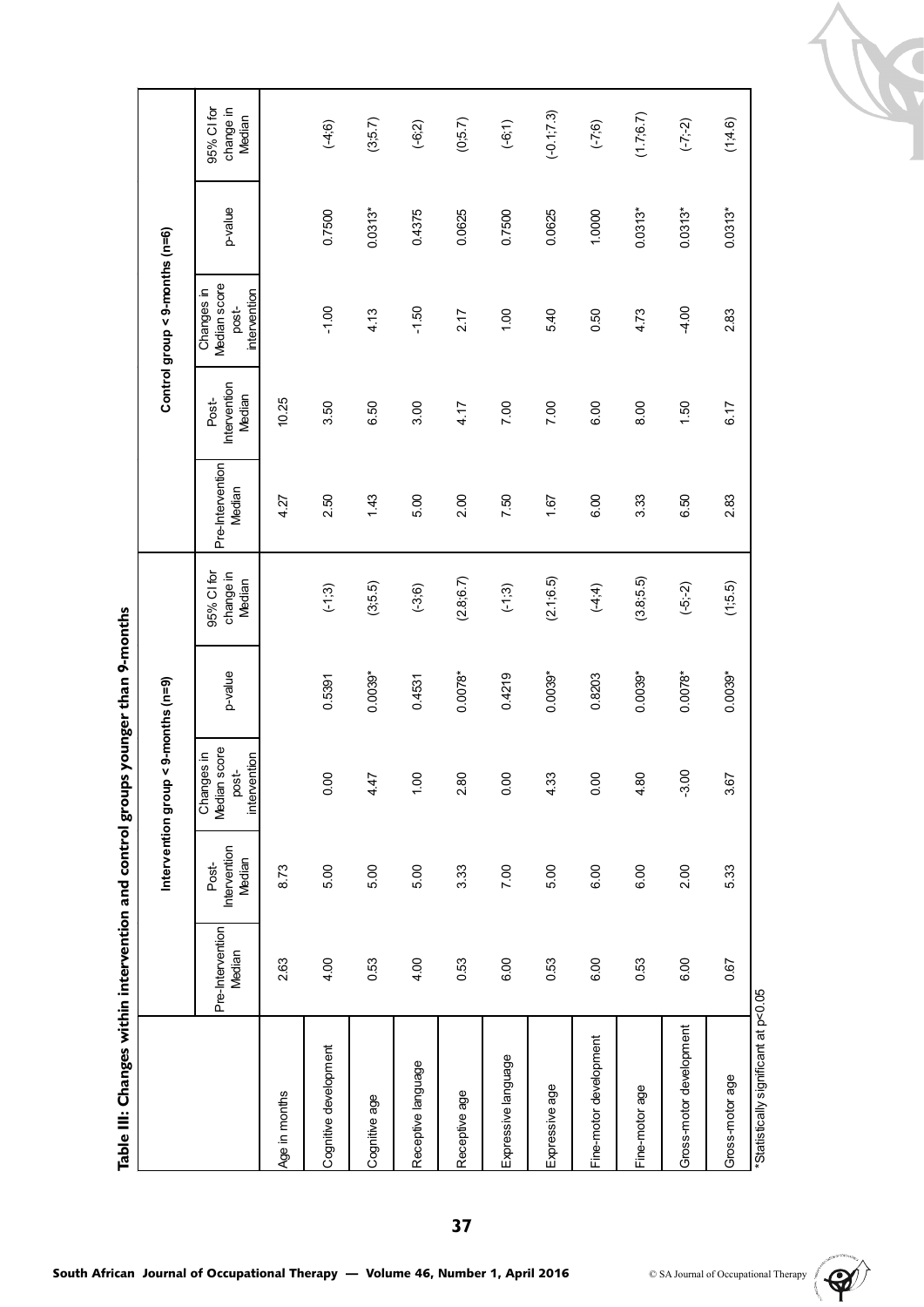Table III: Changes within intervention and control groups younger than 9-months **Table III: Changes within intervention and control groups younger than 9-months**

95% Cl for<br>change in 95% CI for  $(-0.1, 7.3)$  $(1.7; 6.7)$ EXPressive age 0.53 5.00 7.00 7.0039 1.67 1.69.51 (2.1;6.5.1) 1.67 1.69.53 5.0030.00 5.00 5.009 5.003 5.003 0. Median Fine-motor age 0.53 6.00 4.80 0.0039\* (3.8;5.5) 3.33 8.00 4.73 0.0313\* (1.7;6.7)  $(3;5.7)$  $(0; 5.7)$  $(-7;-2)$  $(1, 4.6)$  $(4;6)$  $(-6:2)$  $(-6; 1)$  $(-7, 6)$ Cognitive age 1.43 5.00 5.00 5.0039.00 1.43 6.500010 1.43 0.04 0.003 0.0313 0.0313 0.0313 0.0313 0.0313 0.0313 Receptive age 0.53 3.33 2.80 0.0078\* (2.8;6.7) 2.00 4.17 2.17 0.0625 (0;5.7) Gross-motor development development development development development development development development de<br>Externe development development development development development development development development develo Gross-motor age 1.67 0.67 5.33 3.67 (1;5.5) 2.83 6.33 5.33 5.33 5.33 5.33 5.4.6) Cognitive development 4.00 5.00 0.00 0.5391 (-1;3) 2.50 3.50 -1.00 0.7500 (-4;6) Receptive language 4.00 5.00 1.00 0.4531 (-3;6) 5.00 3.00 -1.50 0.4375 (-6;2) Expressive language 6.00 7.00 0.00 0.4219 (-1;3) 7.50 7.00 1.00 0.7500 (-6;1) (6.2-) 09:0 00:0 00:0 (7:4-) 00:08 00:0 00:0 10:00 0.00 10:0 0.4375  $0.0313*$  $0.0313*$  $0.0313*$ 0.7500  $0.0313*$ 0.0625 0.7500 0.0625 1.0000 intervention p-value<br>post-<br>intervention Control group < 9-months (n=6) **Intervention group < 9-months (n=9) Control group < 9-months (n=6)** Median score Changes in Changes in  $-1.00$ 4.13  $-1.50$ 5.40 0.50 4.73  $4.00$  $2.17$ 1.00 2.83 post-Intervention Intervention Median Post-10.25 Age in months  $2.63$  8.73  $2.63$  8.73 3.50 6.50 4.17 6.17  $3.00$ 7.00 7.00 6.00 8.00  $1.50$ Pre-Intervention Pre-Intervention Median 4.27 250  $1.43$ 5.00 2.00 7.50 1.67 6.00 3.33 6.50 2.83 95% CI for change in Median  $(2.8; 6.7)$  $(2.1, 6.5)$  $(3.8, 5.5)$  $(3,5.5)$  $(-4, 4)$  $(-5,-2)$  $(1; 5.5)$  $(-1, 3)$  $(-3, 6)$  $(-1,3)$ Median<sup>score</sup> p-value<br>post-<br>intervention 0.4219 0.5391  $0.0039*$  $0.0078*$  $0.0039*$ 0.8203  $0.0039*$  $0.0078*$  $0.0039*$ 0.4531 Intervention group < 9-months (n=9) Median score Changes in Changes in post- $-3.00$ 0.00 0.00 4.80 4.47 1.00 2.80 0.00 4.33 3.67 Intervention Intervention Median Post-6.00 8.73  $5.00$ 5.00 5.00 3.33 7.00 5.00 6.00 2.00 5.33 Pre-Intervention Pre-Intervention Median 2.63 4.00 0.53 4.00 0.53 6.00 0.53 6.00 0.53 6.00 0.67 \*Statistically significant at p<0.05 Gross-motor development Fine-motor development Cognitive development Expressive language Receptive language Gross-motor age Fine-motor age Expressive age Age in months Receptive age Cognitive age

\*Statistically significant at p<0.05



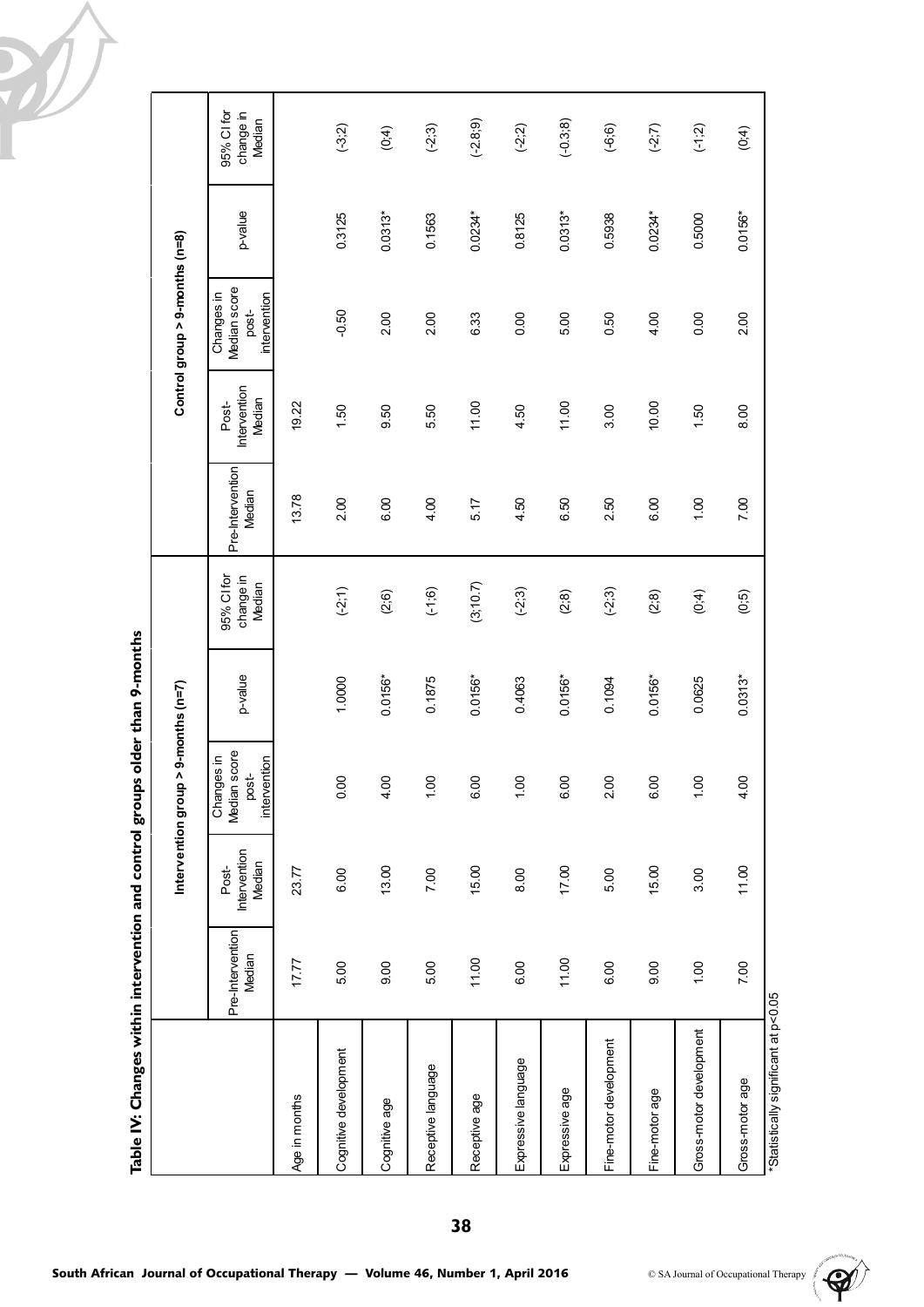

|                                      |                            |                                 | Intervention group > 9-months (n=7)                 |           |                                   |                            |                                 | Control group > 9-months (n=8)                      |           |                                   |
|--------------------------------------|----------------------------|---------------------------------|-----------------------------------------------------|-----------|-----------------------------------|----------------------------|---------------------------------|-----------------------------------------------------|-----------|-----------------------------------|
|                                      | Pre-Intervention<br>Median | Intervention<br>Median<br>Post- | Median score<br>Changes in<br>intervention<br>post- | p-value   | 95% CI for<br>change in<br>Median | Pre-Intervention<br>Median | Intervention<br>Median<br>Post- | Median score<br>Changes in<br>intervention<br>post- | p-value   | 95% CI for<br>change in<br>Median |
| Age in months                        | 17.77                      | 23.77                           |                                                     |           |                                   | 13.78                      | 19.22                           |                                                     |           |                                   |
| Cognitive development                | 5.00                       | 6.00                            | 0.00                                                | 1.0000    | $(-2, 1)$                         | 2.00                       | 1.50                            | $-0.50$                                             | 0.3125    | $(-3, 2)$                         |
| Cognitive age                        | 000                        | 13.00                           | 4.00                                                | $0.0156*$ | (2, 6)                            | 6.00                       | 9.50                            | 2.00                                                | $0.0313*$ | (0,4)                             |
| Receptive language                   | 5.00                       | 7.00                            | 1.00                                                | 0.1875    | $(-1, 6)$                         | 4.00                       | 5.50                            | 200                                                 | 0.1563    | $(-2, 3)$                         |
| Receptive age                        | 11.00                      | 15.00                           | 6.00                                                | $0.0156*$ | (3, 10.7)                         | 5.17                       | 11.00                           | 6.33                                                | $0.0234*$ | $(-2.8, 9)$                       |
| Expressive language                  | 6.00                       | 8.00                            | 1.00                                                | 0.4063    | $(-2, 3)$                         | 4.50                       | 4.50                            | $\frac{8}{10}$                                      | 0.8125    | $(-2, 2)$                         |
| Expressive age                       | 11.00                      | 17.00                           | 6.00                                                | $0.0156*$ | (2, 8)                            | 6.50                       | 11.00                           | 5.00                                                | $0.0313*$ | $(-0.3, 8)$                       |
| Fine-motor development               | 6.00                       | 5.00                            | 2.00                                                | 0.1094    | $(-2,3)$                          | 2.50                       | 3.00                            | 0.50                                                | 0.5938    | $(-6; 6)$                         |
| Fine-motor age                       | 00 <sub>0</sub>            | 15.00                           | 6.00                                                | $0.0156*$ | (2, 8)                            | 6.00                       | 10.00                           | 4.00                                                | 0.0234*   | $(-2,7)$                          |
| Gross-motor development              | 00.1                       | 3.00                            | 1.00                                                | 0.0625    | (0,4)                             | 001                        | 1.50                            | $\frac{8}{10}$                                      | 0.5000    | (1, 2)                            |
| Gross-motor age                      | 7.00                       | 11.00                           | 4.00                                                | $0.0313*$ | (0,5)                             | 7.00                       | 8.00                            | 2.00                                                | $0.0156*$ | (0, 4)                            |
| *Statistically significant at p<0.05 |                            |                                 |                                                     |           |                                   |                            |                                 |                                                     |           |                                   |

Table IV: Changes within intervention and control groups older than 9-months **Table IV: Changes within intervention and control groups older than 9-months**

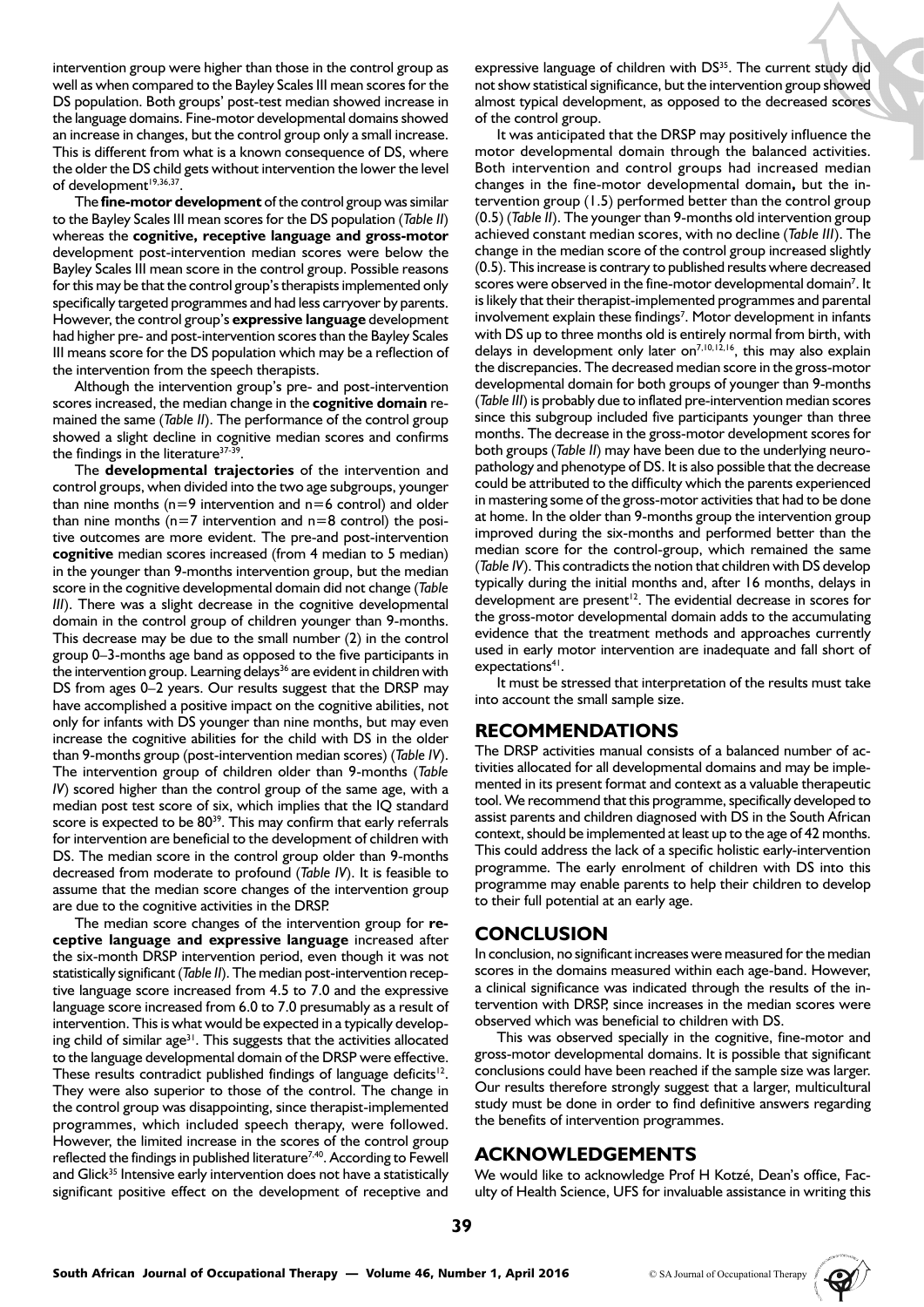intervention group were higher than those in the control group as well as when compared to the Bayley Scales III mean scores for the DS population. Both groups' post-test median showed increase in the language domains. Fine-motor developmental domains showed an increase in changes, but the control group only a small increase. This is different from what is a known consequence of DS, where the older the DS child gets without intervention the lower the level of development<sup>19,36,37</sup>.

The **fine-motor development** of the control group was similar to the Bayley Scales III mean scores for the DS population (*Table II*) whereas the **cognitive, receptive language and gross-motor** development post-intervention median scores were below the Bayley Scales III mean score in the control group. Possible reasons for this may be that the control group's therapists implemented only specifically targeted programmes and had less carryover by parents. However, the control group's **expressive language** development had higher pre- and post-intervention scores than the Bayley Scales III means score for the DS population which may be a reflection of the intervention from the speech therapists.

Although the intervention group's pre- and post-intervention scores increased, the median change in the **cognitive domain** remained the same (*Table II*). The performance of the control group showed a slight decline in cognitive median scores and confirms the findings in the literature<sup>37-39</sup>.

The **developmental trajectories** of the intervention and control groups, when divided into the two age subgroups, younger than nine months ( $n=9$  intervention and  $n=6$  control) and older than nine months ( $n=7$  intervention and  $n=8$  control) the positive outcomes are more evident. The pre-and post-intervention **cognitive** median scores increased (from 4 median to 5 median) in the younger than 9-months intervention group, but the median score in the cognitive developmental domain did not change (*Table III*). There was a slight decrease in the cognitive developmental domain in the control group of children younger than 9-months. This decrease may be due to the small number (2) in the control group 0–3-months age band as opposed to the five participants in the intervention group. Learning delays<sup>36</sup> are evident in children with DS from ages 0–2 years. Our results suggest that the DRSP may have accomplished a positive impact on the cognitive abilities, not only for infants with DS younger than nine months, but may even increase the cognitive abilities for the child with DS in the older than 9-months group (post-intervention median scores) (*Table IV*). The intervention group of children older than 9-months (*Table IV*) scored higher than the control group of the same age, with a median post test score of six, which implies that the IQ standard score is expected to be 80<sup>39</sup>. This may confirm that early referrals for intervention are beneficial to the development of children with DS. The median score in the control group older than 9-months decreased from moderate to profound (*Table IV*). It is feasible to assume that the median score changes of the intervention group are due to the cognitive activities in the DRSP.

The median score changes of the intervention group for **receptive language and expressive language** increased after the six-month DRSP intervention period, even though it was not statistically significant (*Table II*). The median post-intervention receptive language score increased from 4.5 to 7.0 and the expressive language score increased from 6.0 to 7.0 presumably as a result of intervention. This is what would be expected in a typically developing child of similar age $31$ . This suggests that the activities allocated to the language developmental domain of the DRSP were effective. These results contradict published findings of language deficits<sup>12</sup>. They were also superior to those of the control. The change in the control group was disappointing, since therapist-implemented programmes, which included speech therapy, were followed. However, the limited increase in the scores of the control group reflected the findings in published literature<sup>7,40</sup>. According to Fewell and Glick<sup>35</sup> Intensive early intervention does not have a statistically significant positive effect on the development of receptive and expressive language of children with DS<sup>35</sup>. The current study did not show statistical significance, but the intervention group showed almost typical development, as opposed to the decreased scores of the control group.

It was anticipated that the DRSP may positively influence the motor developmental domain through the balanced activities. Both intervention and control groups had increased median changes in the fine-motor developmental domain**,** but the intervention group (1.5) performed better than the control group (0.5) (*Table II*). The younger than 9-months old intervention group achieved constant median scores, with no decline (*Table III*). The change in the median score of the control group increased slightly (0.5). This increase is contrary to published results where decreased scores were observed in the fine-motor developmental domain<sup>7</sup>. It is likely that their therapist-implemented programmes and parental involvement explain these findings<sup>7</sup>. Motor development in infants with DS up to three months old is entirely normal from birth, with delays in development only later on<sup>7,10,12,16</sup>, this may also explain the discrepancies. The decreased median score in the gross-motor developmental domain for both groups of younger than 9-months (*Table III*) is probably due to inflated pre-intervention median scores since this subgroup included five participants younger than three months. The decrease in the gross-motor development scores for both groups (*Table II*) may have been due to the underlying neuropathology and phenotype of DS. It is also possible that the decrease could be attributed to the difficulty which the parents experienced in mastering some of the gross-motor activities that had to be done at home. In the older than 9-months group the intervention group improved during the six-months and performed better than the median score for the control-group, which remained the same (*Table IV*). This contradicts the notion that children with DS develop typically during the initial months and, after 16 months, delays in development are present<sup>12</sup>. The evidential decrease in scores for the gross-motor developmental domain adds to the accumulating evidence that the treatment methods and approaches currently used in early motor intervention are inadequate and fall short of expectations<sup>41</sup>.

It must be stressed that interpretation of the results must take into account the small sample size.

# **RECOMMENDATIONS**

The DRSP activities manual consists of a balanced number of activities allocated for all developmental domains and may be implemented in its present format and context as a valuable therapeutic tool. We recommend that this programme, specifically developed to assist parents and children diagnosed with DS in the South African context, should be implemented at least up to the age of 42 months. This could address the lack of a specific holistic early-intervention programme. The early enrolment of children with DS into this programme may enable parents to help their children to develop to their full potential at an early age.

# **CONCLUSION**

In conclusion, no significant increases were measured for the median scores in the domains measured within each age-band. However, a clinical significance was indicated through the results of the intervention with DRSP, since increases in the median scores were observed which was beneficial to children with DS.

This was observed specially in the cognitive, fine-motor and gross-motor developmental domains. It is possible that significant conclusions could have been reached if the sample size was larger. Our results therefore strongly suggest that a larger, multicultural study must be done in order to find definitive answers regarding the benefits of intervention programmes.

# **ACKNOWLEDGEMENTS**

We would like to acknowledge Prof H Kotzé, Dean's office, Faculty of Health Science, UFS for invaluable assistance in writing this